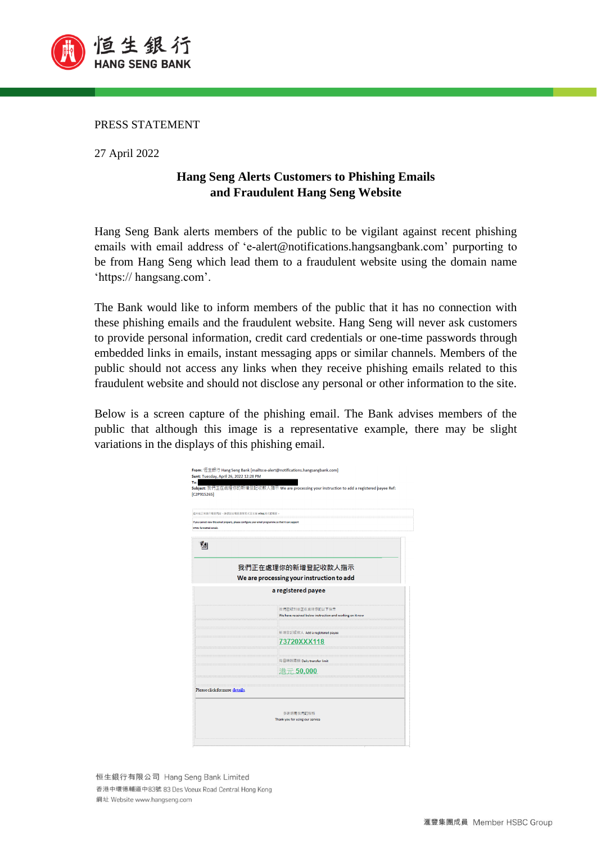

PRESS STATEMENT

27 April 2022

## **Hang Seng Alerts Customers to Phishing Emails and Fraudulent Hang Seng Website**

Hang Seng Bank alerts members of the public to be vigilant against recent phishing emails with email address of 'e-alert@notifications.hangsangbank.com' purporting to be from Hang Seng which lead them to a fraudulent website using the domain name 'https:// hangsang.com'.

The Bank would like to inform members of the public that it has no connection with these phishing emails and the fraudulent website. Hang Seng will never ask customers to provide personal information, credit card credentials or one-time passwords through embedded links in emails, instant messaging apps or similar channels. Members of the public should not access any links when they receive phishing emails related to this fraudulent website and should not disclose any personal or other information to the site.

Below is a screen capture of the phishing email. The Bank advises members of the public that although this image is a representative example, there may be slight variations in the displays of this phishing email.

| 正常摄示電部内容,請你設定電影消費程式至支援 MTML格式的電影。                                                                     |                                |  |                                                                              |
|-------------------------------------------------------------------------------------------------------|--------------------------------|--|------------------------------------------------------------------------------|
| If you cannot view this email properly, please configure your email programme so that it can support  |                                |  |                                                                              |
| <b>HTML</b> formatted emails<br>Zai<br>我們正在處理你的新增登記收款人指示<br>We are processing your instruction to add |                                |  |                                                                              |
|                                                                                                       |                                |  | a registered payee                                                           |
|                                                                                                       |                                |  |                                                                              |
|                                                                                                       |                                |  | 我們已收到並正在處理你的以下指示<br>We have received below instruction and working on it now |
|                                                                                                       |                                |  |                                                                              |
|                                                                                                       | 新增登記收款人 Add a registered payee |  |                                                                              |
|                                                                                                       | 73720XXX118                    |  |                                                                              |
|                                                                                                       | 每日轉賬環額 Daily transfer limit    |  |                                                                              |
| ---------------------------------                                                                     | $\overline{\pi}$ 50.000        |  |                                                                              |
|                                                                                                       |                                |  |                                                                              |
| Please click for more details.                                                                        |                                |  |                                                                              |
|                                                                                                       |                                |  |                                                                              |
|                                                                                                       |                                |  |                                                                              |
|                                                                                                       |                                |  |                                                                              |

恒生銀行有限公司 Hang Seng Bank Limited 香港中環德輔道中83號 83 Des Voeux Road Central Hong Kong 網址 Website www.hangseng.com